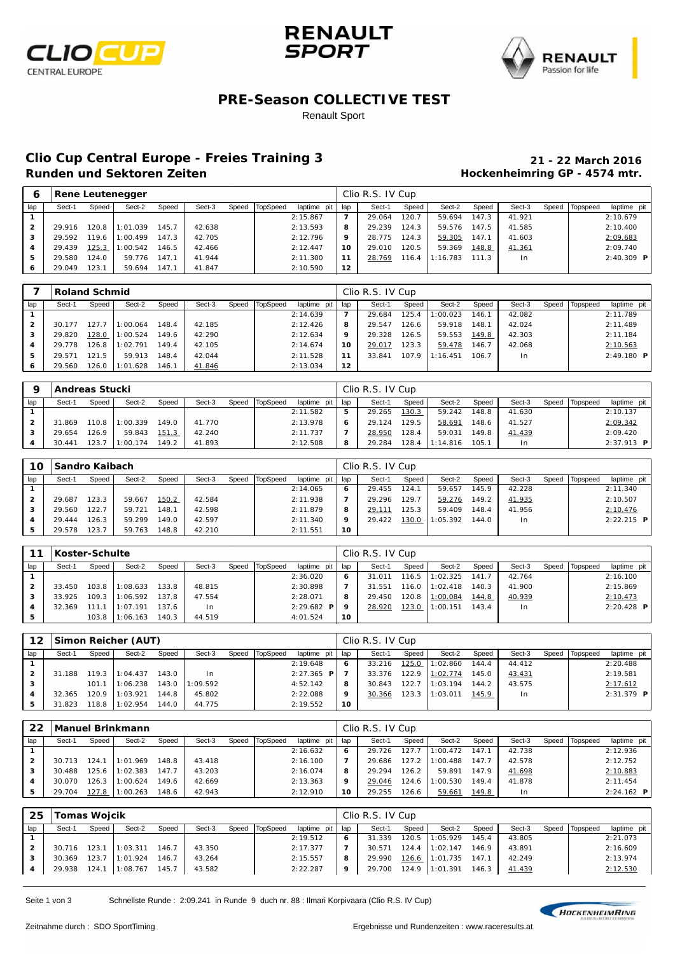





### **PRE-Season COLLECTIVE TEST**

#### Renault Sport

# **Clio Cup Central Europe - Freies Training 3 21 - 22 March 2016**

## **Hockenheimring GP - 4574 mtr.**

|     |        | <b>Rene Leutenegger</b><br>TopSpeed<br>Sect-3<br>Sect-2<br>Speed<br>Speed<br>Speed<br>145.7<br>120.8<br>1:01.039<br>42.638<br>42.705<br>147.3<br>1:00.499<br>119.6<br>1:00.542<br>42.466<br>146.5 |        |       |        |  |  |             |     | Clio R.S. IV Cup |         |          |       |        |       |          |                      |
|-----|--------|---------------------------------------------------------------------------------------------------------------------------------------------------------------------------------------------------|--------|-------|--------|--|--|-------------|-----|------------------|---------|----------|-------|--------|-------|----------|----------------------|
| lap | Sect-1 |                                                                                                                                                                                                   |        |       |        |  |  | laptime pit | lap | Sect-1           | Speed   | Sect-2   | Speed | Sect-3 | Speed | Topspeed | laptime pit          |
|     |        |                                                                                                                                                                                                   |        |       |        |  |  | 2:15.867    |     | 29.064           | 120.7   | 59.694   | 147.3 | 41.921 |       |          | 2:10.679             |
|     | 29.916 |                                                                                                                                                                                                   |        |       |        |  |  | 2:13.593    | 8   | 29.239           | 124.3   | 59.576   | 147.5 | 41.585 |       |          | 2:10.400             |
|     | 29.592 |                                                                                                                                                                                                   |        |       |        |  |  | 2:12.796    | 9   | 28.775           | 124.3   | 59.305   | 147.1 | 41.603 |       |          | 2:09.683             |
|     | 29.439 | 125.3                                                                                                                                                                                             |        |       |        |  |  | 2:12.447    | 10  | 29.010           | 120.5   | 59.369   | 148.8 | 41.361 |       |          | 2:09.740             |
| 5   | 29.580 | 124.0                                                                                                                                                                                             | 59.776 | 147.1 | 41.944 |  |  | 2:11.300    | 11  | 28.769           | 116.4 I | 1:16.783 | 111.3 | 1n     |       |          | $2: 40.309$ <b>P</b> |
| 6   | 29.049 | 123.1                                                                                                                                                                                             | 59.694 | 147.7 | 41.847 |  |  | 2:10.590    | 12  |                  |         |          |       |        |       |          |                      |

|     |        | <b>Roland Schmid</b><br>TopSpeed<br>Sect-2<br>Sect-3<br>Speed<br>Speed<br>Speed<br>148.4<br>1:00.064<br>42.185<br>127.7<br>42.290<br>1:00.524<br>149.6<br>128.0 |          |       |        |  |  |             |     | Clio R.S. IV Cup |       |          |       |                |       |          |                     |
|-----|--------|-----------------------------------------------------------------------------------------------------------------------------------------------------------------|----------|-------|--------|--|--|-------------|-----|------------------|-------|----------|-------|----------------|-------|----------|---------------------|
| lap | Sect-1 |                                                                                                                                                                 |          |       |        |  |  | laptime pit | lap | Sect-1           | Speed | Sect-2   | Speed | Sect-3         | Speed | Topspeed | laptime pit         |
|     |        |                                                                                                                                                                 |          |       |        |  |  | 2:14.639    | 7   | 29.684           | 125.4 | : 00.023 | 146.1 | 42.082         |       |          | 2:11.789            |
|     | 30.177 |                                                                                                                                                                 |          |       |        |  |  | 2:12.426    | 8   | 29.547           | 126.6 | 59.918   | 148.1 | 42.024         |       |          | 2:11.489            |
| з   | 29.820 |                                                                                                                                                                 |          |       |        |  |  | 2:12.634    | 9   | 29.328           | 126.5 | 59.553   | 149.8 | 42.303         |       |          | 2:11.184            |
|     | 29.778 | 126.8                                                                                                                                                           | 1:02.791 | 149.4 | 42.105 |  |  | 2:14.674    | 10  | 29.017           | 123.3 | 59.478   | 146.7 | 42.068         |       |          | 2:10.563            |
| 5   | 29.571 | 121.5                                                                                                                                                           | 59.913   | 148.4 | 42.044 |  |  | 2:11.528    | 11  | 33.841           | 107.9 | 1:16.451 | 106.7 | 1 <sub>n</sub> |       |          | $2:49.180$ <b>P</b> |
| 6   | 29.560 | 126.0                                                                                                                                                           | 1:01.628 | 146.7 | 41.846 |  |  | 2:13.034    | 12  |                  |       |          |       |                |       |          |                     |

|     | Andreas Stucki |       |          |       |        |       |                 |             |     | Clio R.S. IV Cup |         |          |       |                |       |                 |              |
|-----|----------------|-------|----------|-------|--------|-------|-----------------|-------------|-----|------------------|---------|----------|-------|----------------|-------|-----------------|--------------|
| lap | Sect-1         | Speed | Sect-2   | Speed | Sect-3 | Speed | <b>TopSpeed</b> | laptime pit | lap | Sect-1           | Speed   | Sect-2   | Speed | Sect-3         | Speed | <b>Topspeed</b> | laptime pit  |
|     |                |       |          |       |        |       |                 | 2:11.582    | 5   | 29.265           | 130.3   | 59.242   | 148.8 | 41.630         |       |                 | 2:10.137     |
|     | 31.869         | 110.8 | 1:00.339 | 149.0 | 41.770 |       |                 | 2:13.978    | 6   | 29.124           | 129.5   | 58.691   | 48.6  | 41.527         |       |                 | 2:09.342     |
|     | 29.654         | 26.9  | 59.843   | 151.3 | 42.240 |       |                 | 2:11.737    |     | 28.950           | 128.4   | 59.031   | 149.8 | 41.439         |       |                 | 2:09.420     |
|     | 30.441         | 23.   | 1:00.174 | 149.2 | 41.893 |       |                 | 2:12.508    | 8   | 29.284           | $128.4$ | 1:14.816 | 105.1 | 1 <sub>n</sub> |       |                 | $2:37.913$ P |

| 10  | <b>Sandro Kaibach</b> |       |        |       |        |       |          |             |     | Clio R.S. IV Cup |              |          |       |                |       |          |               |
|-----|-----------------------|-------|--------|-------|--------|-------|----------|-------------|-----|------------------|--------------|----------|-------|----------------|-------|----------|---------------|
| lap | Sect-1                | Speed | Sect-2 | Speed | Sect-3 | Speed | TopSpeed | laptime pit | lap | Sect-′           | Speed        | Sect-2   | Speed | Sect-3         | Speed | Topspeed | laptime pit   |
|     |                       |       |        |       |        |       |          | 2:14.065    | 6   | 29.455           | 124.1        | 59.657   | 145.9 | 42.228         |       |          | 2:11.340      |
|     | 29.687                | 123.3 | 59.667 | 150.2 | 42.584 |       |          | 2:11.938    |     | 29.296           | 129.7        | 59.276   | 149.2 | 41.935         |       |          | 2:10.507      |
| 3   | 29.560                | 122.7 | 59.721 | 148.7 | 42.598 |       |          | 2:11.879    | 8   | 29.111           | 125.3        | 59.409   | 148.4 | 41.956         |       |          | 2:10.476      |
|     | 29.444                | 126.3 | 59.299 | 149.0 | 42.597 |       |          | 2:11.340    | 9   | 29.422           | <u>130.0</u> | 1:05.392 | 144.0 | 1 <sub>n</sub> |       |          | $2: 22.215$ P |
|     | 29.578                | 123.7 | 59.763 | 148.8 | 42.210 |       |          | 2:11.551    | 10  |                  |              |          |       |                |       |          |               |

| 11  | Koster-Schulte |       |                 |       |        |       |          |                     |     | Clio R.S. IV Cup |         |                  |       |        |       |          |               |
|-----|----------------|-------|-----------------|-------|--------|-------|----------|---------------------|-----|------------------|---------|------------------|-------|--------|-------|----------|---------------|
| lap | Sect-1         | Speed | Sect-2          | Speed | Sect-3 | Speed | TopSpeed | laptime pit         | lap | Sect-1           | Speed   | Sect-2           | Speed | Sect-3 | Speed | Topspeed | laptime pit   |
|     |                |       |                 |       |        |       |          | 2:36.020            | 6   | 31.011           | 116.5   | 1:02.325         | 141.7 | 42.764 |       |          | 2:16.100      |
|     | 33.450         |       | 103.8 11:08.633 | 133.8 | 48.815 |       |          | 2:30.898            |     | 31.551           |         | $116.0$ 1:02.418 | 140.3 | 41.900 |       |          | 2:15.869      |
|     | 33.925         | 109.3 | 1:06.592        | 137.8 | 47.554 |       |          | 2:28.071            | 8   | 29.450           |         | 120.8 1:00.084   | 144.8 | 40.939 |       |          | 2:10.473      |
|     | 32.369         | 111.1 | 1:07.191        | 137.6 | In.    |       |          | $2:29.682$ <b>P</b> | o   | 28.920           | $123.0$ | 1:00.151         | 143.4 | l n    |       |          | $2: 20.428$ P |
|     |                | 103.8 | 1:06.163        | 140.3 | 44.519 |       |          | 4:01.524            | 10  |                  |         |                  |       |        |       |          |               |

| $12 \ \mathrm{$ |        |       | Simon Reicher (AUT) |       |          |       |          |                     |     | Clio R.S. IV Cup |       |                 |       |                |       |          |              |
|-----------------|--------|-------|---------------------|-------|----------|-------|----------|---------------------|-----|------------------|-------|-----------------|-------|----------------|-------|----------|--------------|
| lap             | Sect-1 | Speed | Sect-2              | Speed | Sect-3   | Speed | TopSpeed | laptime pit         | lap | Sect-1           | Speed | Sect-2          | Speed | Sect-3         | Speed | Topspeed | laptime pit  |
|                 |        |       |                     |       |          |       |          | 2:19.648            | 6   | 33.216           | 125.0 | 1:02.860        | 144.4 | 44.412         |       |          | 2:20.488     |
|                 | 31.188 |       | 119.3 11:04.437     | 143.0 | l n      |       |          | $2:27.365$ <b>P</b> |     | 33.376           | 122.9 | 1:02.774        | 145.0 | 43.431         |       |          | 2:19.581     |
|                 |        | 101.1 | 1:06.238            | 143.0 | 1:09.592 |       |          | 4:52.142            | 8   | 30.843           | 122.7 | 1:03.194        | 144.2 | 43.575         |       |          | 2:17.612     |
| 4               | 32.365 | 120.9 | 1:03.921            | 144.8 | 45.802   |       |          | 2:22.088            | 9   | 30.366           |       | 123.3 11:03.011 | 145.9 | 1 <sub>n</sub> |       |          | $2:31.379$ P |
|                 | 31.823 | 118.8 | 1:02.954            | 144.0 | 44.775   |       |          | 2:19.552            | 10  |                  |       |                 |       |                |       |          |              |

| 22  |        |       | <b>Manuel Brinkmann</b> |       |        |       |          |             |     | Clio R.S. IV Cup |       |          |       |        |       |          |                      |
|-----|--------|-------|-------------------------|-------|--------|-------|----------|-------------|-----|------------------|-------|----------|-------|--------|-------|----------|----------------------|
| lap | Sect-1 | Speed | Sect-2                  | Speed | Sect-3 | Speed | TopSpeed | laptime pit | lap | Sect-1           | Speed | Sect-2   | Speed | Sect-3 | Speed | Topspeed | laptime pit          |
|     |        |       |                         |       |        |       |          | 2:16.632    | 6   | 29.726           | 127.7 | 1:00.472 | 147.1 | 42.738 |       |          | 2:12.936             |
|     | 30.713 | 124.1 | 1:01.969                | 148.8 | 43.418 |       |          | 2:16.100    |     | 29.686           | 127.2 | 1:00.488 | 147.7 | 42.578 |       |          | 2:12.752             |
|     | 30.488 | 125.6 | 1:02.383                | 147.7 | 43.203 |       |          | 2:16.074    | 8   | 29.294           | 126.2 | 59.891   | 147.9 | 41.698 |       |          | 2:10.883             |
|     | 30.070 | 126.3 | 1:00.624                | 149.6 | 42.669 |       |          | 2:13.363    | 9   | 29.046           | 124.6 | 1:00.530 | 149.4 | 41.878 |       |          | 2:11.454             |
|     | 29.704 | 127.8 | 1:00.263                | 148.6 | 42.943 |       |          | 2:12.910    | 10  | 29.255           | 126.6 | 59.661   | 149.8 | In     |       |          | $2: 24.162$ <b>P</b> |

| 25  | Tomas Wojcik |       |          |       |        |                |             |     | Clio R.S. IV Cup |         |                |       |        |       |          |             |
|-----|--------------|-------|----------|-------|--------|----------------|-------------|-----|------------------|---------|----------------|-------|--------|-------|----------|-------------|
| lap | Sect-1       | Speed | Sect-2   | Speed | Sect-3 | Speed TopSpeed | laptime pit | lap | Sect-1           | Speed   | Sect-2         | Speed | Sect-3 | Speed | Topspeed | laptime pit |
|     |              |       |          |       |        |                | 2:19.512    | 6   | 31.339           | 120.5   | 1:05.929       | 145.4 | 43.805 |       |          | 2:21.073    |
| 2   | 30.716       | 123.1 | 1:03.311 | 146.7 | 43.350 |                | 2:17.377    |     | 30.571           | $124.4$ | 1:02.147       | 146.9 | 43.891 |       |          | 2:16.609    |
|     | 30.369       | 123.7 | 1:01.924 | 146.7 | 43.264 |                | 2:15.557    | 8   | 29.990           |         | 126.6 1:01.735 | 147.1 | 42.249 |       |          | 2:13.974    |
|     | 29.938       | 124.1 | 1:08.767 | 145.7 | 43.582 |                | 2:22.287    | 9   | 29.700           |         | 124.9 1:01.391 | 146.3 | 41.439 |       |          | 2:12.530    |

Seite 1 von 3 Schnellste Runde : 2:09.241 in Runde 9 duch nr. 88 : Ilmari Korpivaara (Clio R.S. IV Cup)

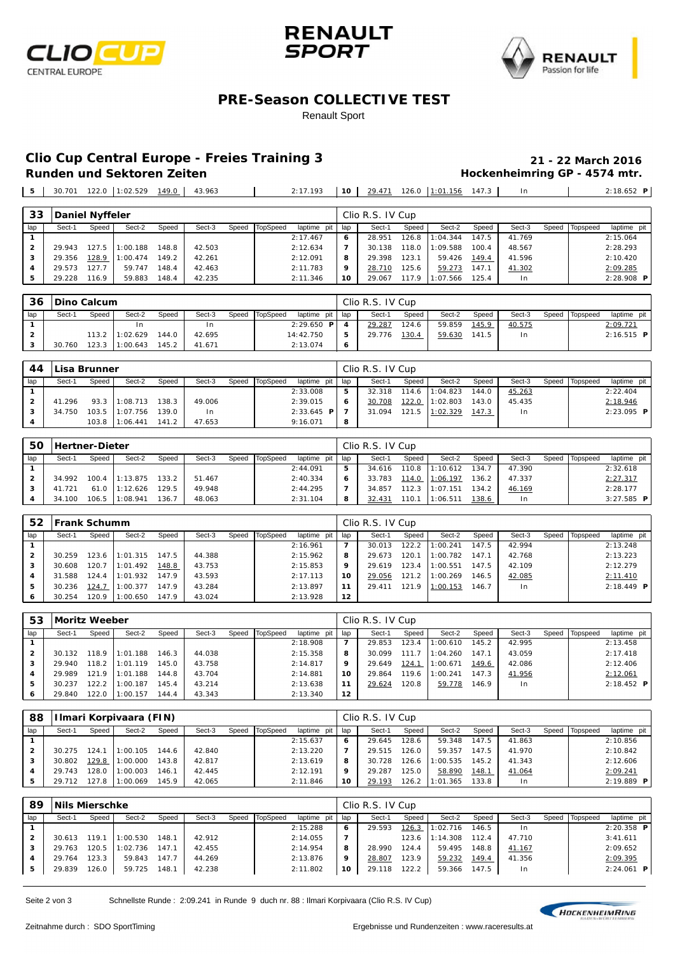





### **PRE-Season COLLECTIVE TEST**

#### Renault Sport

## **Clio Cup Central Europe - Freies Training 3 21 - 22 March 2016**

**Hockenheimring GP - 4574 mtr.** 

30.701 122.0 1:02.529 149.0 43.963 2:17.193 **10** 29.471 126.0 1:01.156 147.3 In 2:18.652 **P**

| Speed<br>Sect-2   | Sect-3<br>Speed | Topspeed<br>laptime pit |
|-------------------|-----------------|-------------------------|
|                   |                 |                         |
| 147.5<br>1:04.344 | 41.769          | 2:15.064                |
| 1:09.588<br>100.4 | 48.567          | 2:28.293                |
| 59.426<br>149.4   | 41.596          | 2:10.420                |
| 147.1<br>59.273   | 41.302          | 2:09.285                |
| 1:07.566<br>125.4 | 1 <sub>n</sub>  | 2:28.908 <b>P</b>       |
|                   |                 |                         |

|     | 36   Dino Calcum |       |                  |       |        |       |          |               |       | Clio R.S. IV Cup |       |        |       |        |                |              |  |
|-----|------------------|-------|------------------|-------|--------|-------|----------|---------------|-------|------------------|-------|--------|-------|--------|----------------|--------------|--|
| lap | Sect-1           | Speed | Sect-2           | Speed | Sect-3 | Speed | TopSpeed | laptime pit I | l lap | Sect-1           | Speed | Sect-2 | Speed | Sect-3 | Speed Topspeed | laptime pit  |  |
|     |                  |       |                  |       | In.    |       |          | 2:29.650 P    |       | 29.287           | 124.6 | 59.859 | 145.9 | 40.575 |                | 2:09.721     |  |
|     |                  |       | $113.2$ 1:02.629 | 144.0 | 42.695 |       |          | 14:42.750     | 5     | 29.776           | 130.4 | 59.630 | 141.5 | In.    |                | $2:16.515$ P |  |
|     | 30.760           |       | 123.3 11:00.643  | 145.2 | 41.671 |       |          | 2:13.074      | -6    |                  |       |        |       |        |                |              |  |

| 44  | <b>Lisa Brunner</b> |       |                 |       |        |       |          |              |       | Clio R.S. IV Cup |       |                |       |        |                |                      |  |
|-----|---------------------|-------|-----------------|-------|--------|-------|----------|--------------|-------|------------------|-------|----------------|-------|--------|----------------|----------------------|--|
| lap | Sect-1              | Speed | Sect-2          | Speed | Sect-3 | Speed | TopSpeed | laptime pit  | l lap | Sect-1           | Speed | Sect-2         | Speed | Sect-3 | Speed Topspeed | laptime pit          |  |
|     |                     |       |                 |       |        |       |          | 2:33.008     | 5     | 32.318           | 114.6 | 1:04.823       | 144.0 | 45.263 |                | 2:22.404             |  |
|     | 41.296              | 93.3  | 1:08.713        | 138.3 | 49.006 |       |          | 2:39.015     | 6     | 30.708           | 122.0 | 1:02.803       | 143.0 | 45.435 |                | 2:18.946             |  |
| 3   | 34.750              |       | 103.5 11:07.756 | 139.0 | In.    |       |          | $2:33.645$ P |       | 31.094           |       | 121.5 1:02.329 | 147.3 | In.    |                | $2: 23.095$ <b>P</b> |  |
| 4   |                     | 103.8 | 1:06.441        | 141.2 | 47.653 |       |          | 9:16.071     | 8     |                  |       |                |       |        |                |                      |  |

| 50  | Hertner-Dieter |       |          |       |        |       |          |             |                          | Clio R.S. IV Cup |         |          |       |                |       |          |                      |
|-----|----------------|-------|----------|-------|--------|-------|----------|-------------|--------------------------|------------------|---------|----------|-------|----------------|-------|----------|----------------------|
| lap | Sect-1         | Speed | Sect-2   | Speed | Sect-3 | Speed | TopSpeed | laptime pit | I lap                    | Sect-1           | Speed   | Sect-2   | Speed | Sect-3         | Speed | Topspeed | laptime pit          |
|     |                |       |          |       |        |       |          | 2: 44.091   | 5                        | 34.616           | 110.8   | 1:10.612 | 134.7 | 47.390         |       |          | 2:32.618             |
|     | 34.992         | 100.4 | 1:13.875 | 133.2 | 51.467 |       |          | 2:40.334    | 6                        | 33.783           | $114.0$ | 1:06.197 | 136.2 | 47.337         |       |          | 2: 27.317            |
|     | 41.721         | 61.0  | 1:12.626 | 129.5 | 49.948 |       |          | 2: 44.295   | $\overline{\phantom{a}}$ | 34.857           | 112.3   | 1:07.151 | 134.2 | 46.169         |       |          | 2:28.177             |
|     | 34.100         | 106.5 | 1:08.941 | 136.7 | 48.063 |       |          | 2:31.104    | 8                        | 32.431           | 110.1   | 1:06.511 | 138.6 | 1 <sub>n</sub> |       |          | $3: 27.585$ <b>P</b> |

| 52  | <b>IFrank Schumm</b> |       |           |       |        |       |          |             |                | Clio R.S. IV Cup |           |                |       |        |       |          |                     |
|-----|----------------------|-------|-----------|-------|--------|-------|----------|-------------|----------------|------------------|-----------|----------------|-------|--------|-------|----------|---------------------|
| lap | Sect-1               | Speed | Sect-2    | Speed | Sect-3 | Speed | TopSpeed | laptime pit | lap            | Sect-1           | Speed     | Sect-2         | Speed | Sect-3 | Speed | Topspeed | laptime pit         |
|     |                      |       |           |       |        |       |          | 2:16.961    | $\overline{7}$ | 30.013           | 122.2     | 1:00.241       | 147.5 | 42.994 |       |          | 2:13.248            |
|     | 30.259               | 123.6 | 11:01.315 | 147.5 | 44.388 |       |          | 2:15.962    | 8              | 29.673           | 120.1     | 1:00.782       | 147.1 | 42.768 |       |          | 2:13.223            |
| 3   | 30.608               | 120.7 | 1:01.492  | 148.8 | 43.753 |       |          | 2:15.853    | 9              | 29.619           | $123.4$ 1 | 1:00.551       | 147.5 | 42.109 |       |          | 2:12.279            |
| 4   | 31.588               | 124.4 | 1:01.932  | 147.9 | 43.593 |       |          | 2:17.113    | 10             | 29.056           | 121.2 l   | 1:00.269       | 146.5 | 42.085 |       |          | 2:11.410            |
| 5   | 30.236               | 124.7 | 1:00.377  | 147.9 | 43.284 |       |          | 2:13.897    | 11             | 29.411           |           | 121.9 1:00.153 | 146.7 | l n    |       |          | $2:18.449$ <b>P</b> |
| 6   | 30.254               | 120.9 | 1:00.650  | 147.9 | 43.024 |       |          | 2:13.928    | 12             |                  |           |                |       |        |       |          |                     |

| 53  | <b>Moritz Weeber</b> |       |           |       |        |       |          |             |     | Clio R.S. IV Cup |       |          |       |        |       |          |                     |
|-----|----------------------|-------|-----------|-------|--------|-------|----------|-------------|-----|------------------|-------|----------|-------|--------|-------|----------|---------------------|
| lap | Sect-1               | Speed | Sect-2    | Speed | Sect-3 | Speed | TopSpeed | laptime pit | lap | Sect-1           | Speed | Sect-2   | Speed | Sect-3 | Speed | Topspeed | laptime pit         |
|     |                      |       |           |       |        |       |          | 2:18.908    | 7   | 29.853           | 123.4 | 1:00.610 | 145.2 | 42.995 |       |          | 2:13.458            |
|     | 30.132               | 118.9 | 1:01.188  | 146.3 | 44.038 |       |          | 2:15.358    | 8   | 30.099           | 111.7 | 1:04.260 | 147.1 | 43.059 |       |          | 2:17.418            |
|     | 29.940               | 118.2 | 11:01.119 | 145.0 | 43.758 |       |          | 2:14.817    | 9   | 29.649           | 124.1 | 1:00.671 | 149.6 | 42.086 |       |          | 2:12.406            |
| 4   | 29.989               | 121.9 | 1:01.188  | 144.8 | 43.704 |       |          | 2:14.881    | 10  | 29.864           | 119.6 | 1:00.241 | 147.3 | 41.956 |       |          | 2:12.061            |
| 5   | 30.237               | 122.2 | 1:00.187  | 145.4 | 43.214 |       |          | 2:13.638    | 11  | 29.624           | 120.8 | 59.778   | 146.9 | $\ln$  |       |          | $2:18.452$ <b>P</b> |
| 6   | 29.840               | 122.0 | 1:00.157  | 144.4 | 43.343 |       |          | 2:13.340    | 12  |                  |       |          |       |        |       |          |                     |

| 88             |        |       | Ilmari Korpivaara (FIN) |       |        |       |          |             |     | Clio R.S. IV Cup |       |          |               |        |       |          |                     |
|----------------|--------|-------|-------------------------|-------|--------|-------|----------|-------------|-----|------------------|-------|----------|---------------|--------|-------|----------|---------------------|
| lap            | Sect-1 | Speed | Sect-2                  | Speed | Sect-3 | Speed | TopSpeed | laptime pit | lap | Sect-1           | Speed | Sect-2   | Speed         | Sect-3 | Speed | Topspeed | laptime pit         |
|                |        |       |                         |       |        |       |          | 2:15.637    | 6   | 29.645           | 128.6 | 59.348   | 147.5         | 41.863 |       |          | 2:10.856            |
| $\overline{2}$ | 30.275 | 124.  | 1:00.105                | 144.6 | 42.840 |       |          | 2:13.220    | 7   | 29.515           | 126.0 | 59.357   | 147.5         | 41.970 |       |          | 2:10.842            |
| 3              | 30.802 | 129.8 | 1:00.000                | 143.8 | 42.817 |       |          | 2:13.619    | 8   | 30.728           | 126.6 | 1:00.535 | 145.2         | 41.343 |       |          | 2:12.606            |
| 4              | 29.743 | 28.0  | 1:00.003                | 146.1 | 42.445 |       |          | 2:12.191    | 9   | 29.287           | 125.0 | 58.890   | <u> 148.1</u> | 41.064 |       |          | 2:09.241            |
|                | 29.712 | 127.8 | 1:00.069                | 145.9 | 42.065 |       |          | 2:11.846    | 10  | 29.193           | 126.2 | 1:01.365 | 133.8         | I n    |       |          | $2:19.889$ <b>P</b> |

| 89           | Nils Mierschke |       |          |       |        |       |          |             |     | Clio R.S. IV Cup |       |          |       |        |       |          |                      |  |
|--------------|----------------|-------|----------|-------|--------|-------|----------|-------------|-----|------------------|-------|----------|-------|--------|-------|----------|----------------------|--|
| lap          | Sect-1         | Speed | Sect-2   | Speed | Sect-3 | Speed | TopSpeed | laptime pit | lap | Sect-1           | Speed | Sect-2   | Speed | Sect-3 | Speed | Topspeed | laptime pit          |  |
|              |                |       |          |       |        |       |          | 2:15.288    | 6   | 29.593           | 126.3 | 1:02.716 | 146.5 | 1n     |       |          | $2: 20.358$ <b>P</b> |  |
| $\mathbf{2}$ | 30.613         | 119.1 | 1:00.530 | 148.1 | 42.912 |       |          | 2:14.055    |     |                  | 123.6 | 1:14.308 | 112.4 | 47.710 |       |          | 3: 41.611            |  |
|              | 29.763         | 120.5 | 1:02.736 | 147.1 | 42.455 |       |          | 2:14.954    | 8   | 28.990           | 124.4 | 59.495   | 148.8 | 41.167 |       |          | 2:09.652             |  |
|              | 29.764         | 123.3 | 59.843   | 147.7 | 44.269 |       |          | 2:13.876    | 9   | 28.807           | 123.9 | 59.232   | 149.4 | 41.356 |       |          | 2:09.395             |  |
| 5            | 29.839         | 126.0 | 59.725   | 148.7 | 42.238 |       |          | 2:11.802    | 10  | 29.118           | 122.2 | 59.366   | 147.5 | In.    |       |          | $2:24.061$ P         |  |
|              |                |       |          |       |        |       |          |             |     |                  |       |          |       |        |       |          |                      |  |

Seite 2 von 3 Schnellste Runde : 2:09.241 in Runde 9 duch nr. 88 : Ilmari Korpivaara (Clio R.S. IV Cup)